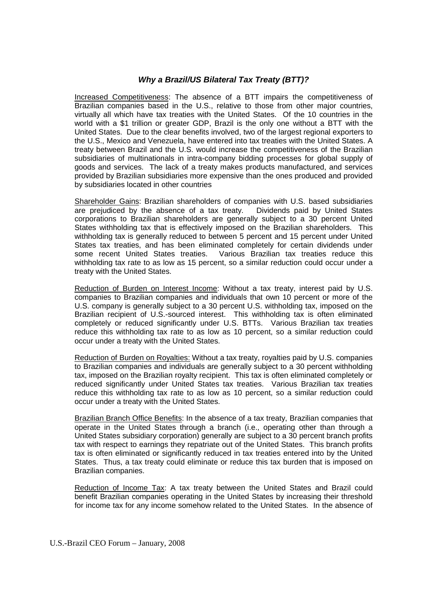## *Why a Brazil/US Bilateral Tax Treaty (BTT)?*

Increased Competitiveness: The absence of a BTT impairs the competitiveness of Brazilian companies based in the U.S., relative to those from other major countries, virtually all which have tax treaties with the United States. Of the 10 countries in the world with a \$1 trillion or greater GDP, Brazil is the only one without a BTT with the United States. Due to the clear benefits involved, two of the largest regional exporters to the U.S., Mexico and Venezuela, have entered into tax treaties with the United States. A treaty between Brazil and the U.S. would increase the competitiveness of the Brazilian subsidiaries of multinationals in intra-company bidding processes for global supply of goods and services. The lack of a treaty makes products manufactured, and services provided by Brazilian subsidiaries more expensive than the ones produced and provided by subsidiaries located in other countries

Shareholder Gains: Brazilian shareholders of companies with U.S. based subsidiaries are prejudiced by the absence of a tax treaty. Dividends paid by United States corporations to Brazilian shareholders are generally subject to a 30 percent United States withholding tax that is effectively imposed on the Brazilian shareholders. This withholding tax is generally reduced to between 5 percent and 15 percent under United States tax treaties, and has been eliminated completely for certain dividends under some recent United States treaties. Various Brazilian tax treaties reduce this withholding tax rate to as low as 15 percent, so a similar reduction could occur under a treaty with the United States.

Reduction of Burden on Interest Income: Without a tax treaty, interest paid by U.S. companies to Brazilian companies and individuals that own 10 percent or more of the U.S. company is generally subject to a 30 percent U.S. withholding tax, imposed on the Brazilian recipient of U.S.-sourced interest. This withholding tax is often eliminated completely or reduced significantly under U.S. BTTs. Various Brazilian tax treaties reduce this withholding tax rate to as low as 10 percent, so a similar reduction could occur under a treaty with the United States.

Reduction of Burden on Royalties: Without a tax treaty, royalties paid by U.S. companies to Brazilian companies and individuals are generally subject to a 30 percent withholding tax, imposed on the Brazilian royalty recipient. This tax is often eliminated completely or reduced significantly under United States tax treaties. Various Brazilian tax treaties reduce this withholding tax rate to as low as 10 percent, so a similar reduction could occur under a treaty with the United States.

Brazilian Branch Office Benefits: In the absence of a tax treaty, Brazilian companies that operate in the United States through a branch (i.e., operating other than through a United States subsidiary corporation) generally are subject to a 30 percent branch profits tax with respect to earnings they repatriate out of the United States. This branch profits tax is often eliminated or significantly reduced in tax treaties entered into by the United States. Thus, a tax treaty could eliminate or reduce this tax burden that is imposed on Brazilian companies.

Reduction of Income Tax: A tax treaty between the United States and Brazil could benefit Brazilian companies operating in the United States by increasing their threshold for income tax for any income somehow related to the United States. In the absence of